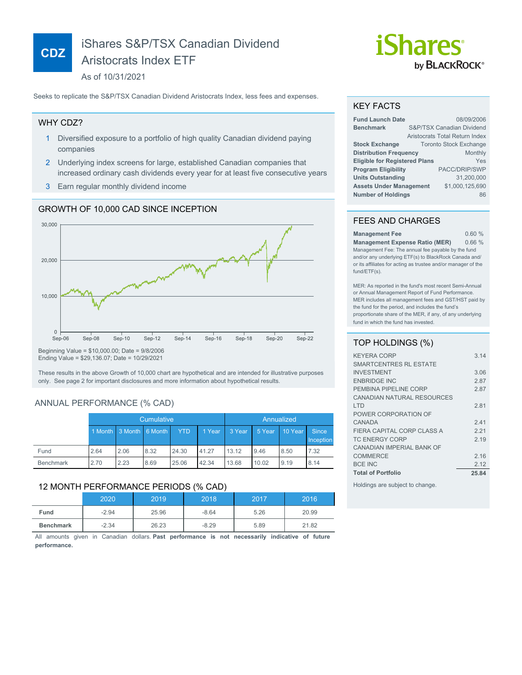# iShares S&P/TSX Canadian Dividend Aristocrats Index ETF

As of 10/31/2021

Seeks to replicate the S&P/TSX Canadian Dividend Aristocrats Index, less fees and expenses.

### WHY CDZ?

**CDZ**

- 1 Diversified exposure to a portfolio of high quality Canadian dividend paying companies
- 2 Underlying index screens for large, established Canadian companies that increased ordinary cash dividends every year for at least five consecutive years
- 3 Earn regular monthly dividend income

### GROWTH OF 10,000 CAD SINCE INCEPTION



Ending Value = \$29,136.07; Date = 10/29/2021

These results in the above Growth of 10,000 chart are hypothetical and are intended for illustrative purposes only. See page 2 for important disclosures and more information about hypothetical results.

## ANNUAL PERFORMANCE (% CAD)

|                  | Cumulative |                         |      | Annualized |        |        |        |         |                           |
|------------------|------------|-------------------------|------|------------|--------|--------|--------|---------|---------------------------|
|                  |            | 1 Month 3 Month 6 Month |      | <b>YTD</b> | 1 Year | 3 Year | 5 Year | 10 Year | <b>Since</b><br>Inception |
| Fund             | 2.64       | 2.06                    | 8.32 | 24.30      | 41.27  | 13.12  | 9.46   | 8.50    | 7.32                      |
| <b>Benchmark</b> | 2.70       | 2.23                    | 8.69 | 25.06      | 42.34  | 13.68  | 10.02  | 9.19    | 8.14                      |

#### 12 MONTH PERFORMANCE PERIODS (% CAD)

|           | 2020    | 2019  | 2018    | 2017 | 2016  |
|-----------|---------|-------|---------|------|-------|
| Fund      | $-2.94$ | 25.96 | $-8.64$ | 5.26 | 20.99 |
| Benchmark | $-2.34$ | 26.23 | $-8.29$ | 5.89 | 21.82 |

All amounts given in Canadian dollars. **Past performance is not necessarily indicative of future performance.**

# *iShares* by **BLACKROCK**®

#### KEY FACTS

| <b>Fund Launch Date</b>              | 08/09/2006 |                                |  |  |
|--------------------------------------|------------|--------------------------------|--|--|
| <b>Benchmark</b>                     |            | S&P/TSX Canadian Dividend      |  |  |
|                                      |            | Aristocrats Total Return Index |  |  |
| <b>Stock Exchange</b>                |            | <b>Toronto Stock Exchange</b>  |  |  |
| <b>Distribution Frequency</b>        |            | Monthly                        |  |  |
| <b>Eligible for Registered Plans</b> |            | Yes                            |  |  |
| <b>Program Eligibility</b>           |            | PACC/DRIP/SWP                  |  |  |
| <b>Units Outstanding</b>             |            | 31.200.000                     |  |  |
| <b>Assets Under Management</b>       |            | \$1,000,125,690                |  |  |
| <b>Number of Holdings</b>            |            | 86                             |  |  |

# FEES AND CHARGES

| <b>Management Fee</b>                                         | 0.60% |  |  |  |
|---------------------------------------------------------------|-------|--|--|--|
| <b>Management Expense Ratio (MER)</b>                         | 0.66% |  |  |  |
| Management Fee: The annual fee payable by the fund            |       |  |  |  |
| and/or any underlying ETF(s) to BlackRock Canada and/         |       |  |  |  |
| or its affiliates for acting as trustee and/or manager of the |       |  |  |  |
| fund/ETF(s).                                                  |       |  |  |  |

MER: As reported in the fund's most recent Semi-Annual or Annual Management Report of Fund Performance. MER includes all management fees and GST/HST paid by the fund for the period, and includes the fund's proportionate share of the MER, if any, of any underlying fund in which the fund has invested.

# TOP HOLDINGS (%)

| <b>KEYERA CORP</b>            | 314   |
|-------------------------------|-------|
| <b>SMARTCENTRES RL ESTATE</b> |       |
| <b>INVESTMENT</b>             | 3.06  |
| <b>ENBRIDGE INC</b>           | 2.87  |
| PEMBINA PIPELINE CORP         | 287   |
| CANADIAN NATURAL RESOURCES    |       |
| I TD                          | 281   |
| POWER CORPORATION OF          |       |
| CANADA                        | 241   |
| FIERA CAPITAL CORP CLASS A    | 221   |
| TC ENERGY CORP                | 2 19  |
| CANADIAN IMPERIAI BANK OF     |       |
| <b>COMMERCE</b>               | 2.16  |
| <b>BCE INC</b>                | 2.12  |
| <b>Total of Portfolio</b>     | 25.84 |

Holdings are subject to change.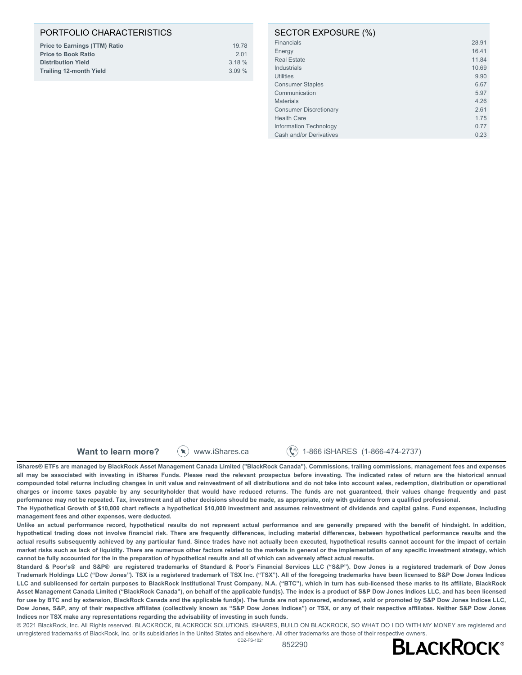# PORTFOLIO CHARACTERISTICS

| <b>Price to Earnings (TTM) Ratio</b> | 19.78    |
|--------------------------------------|----------|
| <b>Price to Book Ratio</b>           | 201      |
| <b>Distribution Yield</b>            | $3.18\%$ |
| <b>Trailing 12-month Yield</b>       | $3.09\%$ |
|                                      |          |

#### SECTOR EXPOSURE (%)

| <b>Financials</b>             | 28.91 |
|-------------------------------|-------|
| Energy                        | 16.41 |
| <b>Real Estate</b>            | 11.84 |
| Industrials                   | 10.69 |
| <b>Utilities</b>              | 9.90  |
| <b>Consumer Staples</b>       | 6.67  |
| Communication                 | 5.97  |
| <b>Materials</b>              | 4.26  |
| <b>Consumer Discretionary</b> | 2.61  |
| <b>Health Care</b>            | 1.75  |
| Information Technology        | 0.77  |
| Cash and/or Derivatives       | 0.23  |
|                               |       |

**Want to learn more?**  $(\ast)$  www.iShares.ca  $(\ast)$  1-866 iSHARES (1-866-474-2737)

**iShares® ETFs are managed by BlackRock Asset Management Canada Limited ("BlackRock Canada"). Commissions, trailing commissions, management fees and expenses all may be associated with investing in iShares Funds. Please read the relevant prospectus before investing. The indicated rates of return are the historical annual compounded total returns including changes in unit value and reinvestment of all distributions and do not take into account sales, redemption, distribution or operational charges or income taxes payable by any securityholder that would have reduced returns. The funds are not guaranteed, their values change frequently and past performance may not be repeated. Tax, investment and all other decisions should be made, as appropriate, only with guidance from a qualified professional.**

**The Hypothetical Growth of \$10,000 chart reflects a hypothetical \$10,000 investment and assumes reinvestment of dividends and capital gains. Fund expenses, including management fees and other expenses, were deducted.**

**Unlike an actual performance record, hypothetical results do not represent actual performance and are generally prepared with the benefit of hindsight. In addition, hypothetical trading does not involve financial risk. There are frequently differences, including material differences, between hypothetical performance results and the actual results subsequently achieved by any particular fund. Since trades have not actually been executed, hypothetical results cannot account for the impact of certain market risks such as lack of liquidity. There are numerous other factors related to the markets in general or the implementation of any specific investment strategy, which cannot be fully accounted for the in the preparation of hypothetical results and all of which can adversely affect actual results.**

**Standard & Poor's® and S&P® are registered trademarks of Standard & Poor's Financial Services LLC ("S&P"). Dow Jones is a registered trademark of Dow Jones Trademark Holdings LLC ("Dow Jones"). TSX is a registered trademark of TSX Inc. ("TSX"). All of the foregoing trademarks have been licensed to S&P Dow Jones Indices LLC and sublicensed for certain purposes to BlackRock Institutional Trust Company, N.A. ("BTC"), which in turn has sub-licensed these marks to its affiliate, BlackRock Asset Management Canada Limited ("BlackRock Canada"), on behalf of the applicable fund(s). The index is a product of S&P Dow Jones Indices LLC, and has been licensed for use by BTC and by extension, BlackRock Canada and the applicable fund(s). The funds are not sponsored, endorsed, sold or promoted by S&P Dow Jones Indices LLC, Dow Jones, S&P, any of their respective affiliates (collectively known as "S&P Dow Jones Indices") or TSX, or any of their respective affiliates. Neither S&P Dow Jones Indices nor TSX make any representations regarding the advisability of investing in such funds.**

© 2021 BlackRock, Inc. All Rights reserved. BLACKROCK, BLACKROCK SOLUTIONS, iSHARES, BUILD ON BLACKROCK, SO WHAT DO I DO WITH MY MONEY are registered and unregistered trademarks of BlackRock, Inc. or its subsidiaries in the United States and elsewhere. All other trademarks are those of their respective owners.<br>- - -